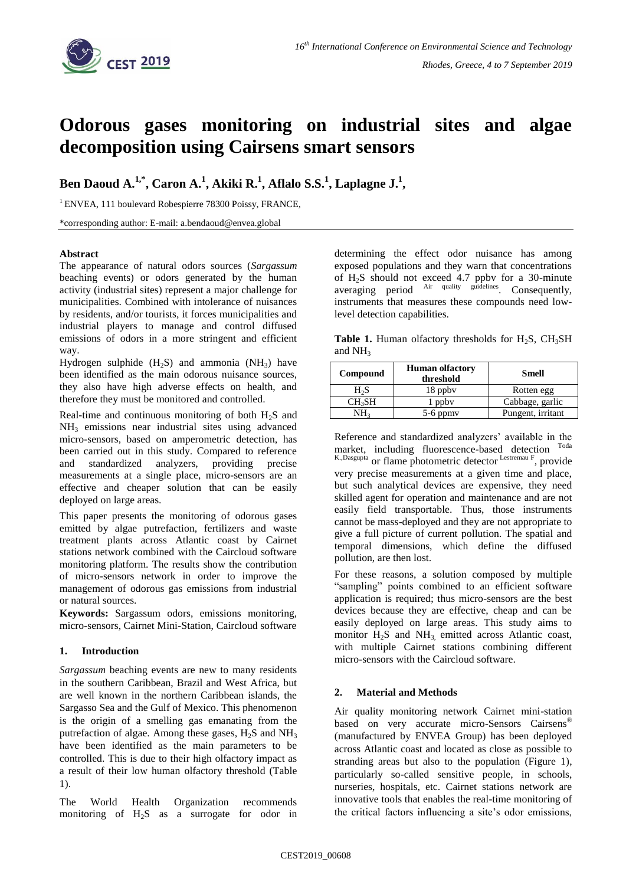

# **Odorous gases monitoring on industrial sites and algae decomposition using Cairsens smart sensors**

**Ben Daoud A.1,\* , Caron A. 1 , Akiki R. 1 , Aflalo S.S.<sup>1</sup> , Laplagne J. 1 ,**

<sup>1</sup> ENVEA, 111 boulevard Robespierre 78300 Poissy, FRANCE,

\*corresponding author: E-mail: a.bendaoud@envea.global

## **Abstract**

The appearance of natural odors sources (*Sargassum*  beaching events) or odors generated by the human activity (industrial sites) represent a major challenge for municipalities. Combined with intolerance of nuisances by residents, and/or tourists, it forces municipalities and industrial players to manage and control diffused emissions of odors in a more stringent and efficient way.

Hydrogen sulphide  $(H_2S)$  and ammonia  $(NH_3)$  have been identified as the main odorous nuisance sources, they also have high adverse effects on health, and therefore they must be monitored and controlled.

Real-time and continuous monitoring of both  $H_2S$  and NH<sup>3</sup> emissions near industrial sites using advanced micro-sensors, based on amperometric detection, has been carried out in this study. Compared to reference and standardized analyzers, providing precise measurements at a single place, micro-sensors are an effective and cheaper solution that can be easily deployed on large areas.

This paper presents the monitoring of odorous gases emitted by algae putrefaction, fertilizers and waste treatment plants across Atlantic coast by Cairnet stations network combined with the Caircloud software monitoring platform. The results show the contribution of micro-sensors network in order to improve the management of odorous gas emissions from industrial or natural sources.

**Keywords:** Sargassum odors, emissions monitoring, micro-sensors, Cairnet Mini-Station, Caircloud software

## **1. Introduction**

*Sargassum* beaching events are new to many residents in the southern Caribbean, Brazil and West Africa, but are well known in the northern Caribbean islands, the Sargasso Sea and the Gulf of Mexico. This phenomenon is the origin of a smelling gas emanating from the putrefaction of algae. Among these gases,  $H_2S$  and  $NH_3$ have been identified as the main parameters to be controlled. This is due to their high olfactory impact as a result of their low human olfactory threshold (Table 1).

The World Health Organization recommends monitoring of H2S as a surrogate for odor in determining the effect odor nuisance has among exposed populations and they warn that concentrations of H2S should not exceed 4.7 ppbv for a 30-minute averaging period <sup>Air quality guidelines</sup>. Consequently, instruments that measures these compounds need lowlevel detection capabilities.

**Table 1.** Human olfactory thresholds for  $H_2S$ ,  $CH_3SH$ and  $NH<sub>3</sub>$ 

| Compound           | <b>Human olfactory</b><br>threshold | <b>Smell</b>      |
|--------------------|-------------------------------------|-------------------|
| H <sub>2</sub> S   | 18 ppby                             | Rotten egg        |
| CH <sub>3</sub> SH | l ppbv                              | Cabbage, garlic   |
| NH <sub>3</sub>    | $5-6$ ppmy                          | Pungent, irritant |

Reference and standardized analyzers' available in the market, including fluorescence-based detection Toda K.,Dasgupta or flame photometric detector Lestremau F, provide very precise measurements at a given time and place, but such analytical devices are expensive, they need skilled agent for operation and maintenance and are not easily field transportable. Thus, those instruments cannot be mass-deployed and they are not appropriate to give a full picture of current pollution. The spatial and temporal dimensions, which define the diffused pollution, are then lost.

For these reasons, a solution composed by multiple "sampling" points combined to an efficient software application is required; thus micro-sensors are the best devices because they are effective, cheap and can be easily deployed on large areas. This study aims to monitor H<sub>2</sub>S and NH<sub>3,</sub> emitted across Atlantic coast, with multiple Cairnet stations combining different micro-sensors with the Caircloud software.

## **2. Material and Methods**

Air quality monitoring network Cairnet mini-station based on very accurate micro-Sensors Cairsens<sup>®</sup> (manufactured by ENVEA Group) has been deployed across Atlantic coast and located as close as possible to stranding areas but also to the population (Figure 1), particularly so-called sensitive people, in schools, nurseries, hospitals, etc. Cairnet stations network are innovative tools that enables the real-time monitoring of the critical factors influencing a site's odor emissions,